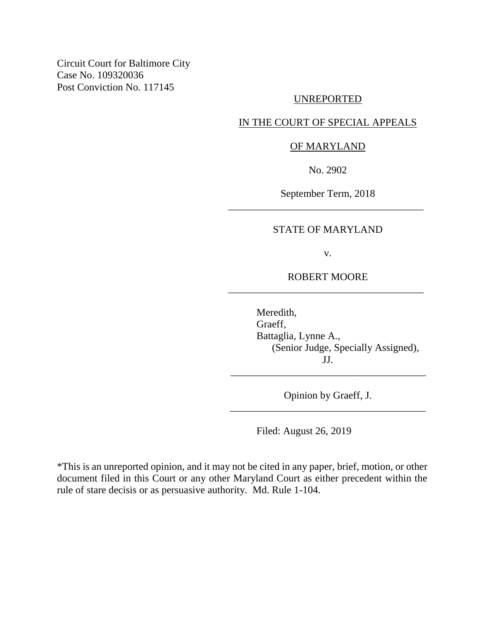Circuit Court for Baltimore City Case No. 109320036 Post Conviction No. 117145

#### UNREPORTED

## IN THE COURT OF SPECIAL APPEALS

### OF MARYLAND

No. 2902

September Term, 2018 \_\_\_\_\_\_\_\_\_\_\_\_\_\_\_\_\_\_\_\_\_\_\_\_\_\_\_\_\_\_\_\_\_\_\_\_\_\_

### STATE OF MARYLAND

v.

ROBERT MOORE \_\_\_\_\_\_\_\_\_\_\_\_\_\_\_\_\_\_\_\_\_\_\_\_\_\_\_\_\_\_\_\_\_\_\_\_\_\_

> Meredith, Graeff, Battaglia, Lynne A., (Senior Judge, Specially Assigned), JJ.

Opinion by Graeff, J. \_\_\_\_\_\_\_\_\_\_\_\_\_\_\_\_\_\_\_\_\_\_\_\_\_\_\_\_\_\_\_\_\_\_\_\_\_\_

\_\_\_\_\_\_\_\_\_\_\_\_\_\_\_\_\_\_\_\_\_\_\_\_\_\_\_\_\_\_\_\_\_\_\_\_\_\_

Filed: August 26, 2019

\*This is an unreported opinion, and it may not be cited in any paper, brief, motion, or other document filed in this Court or any other Maryland Court as either precedent within the rule of stare decisis or as persuasive authority. Md. Rule 1-104.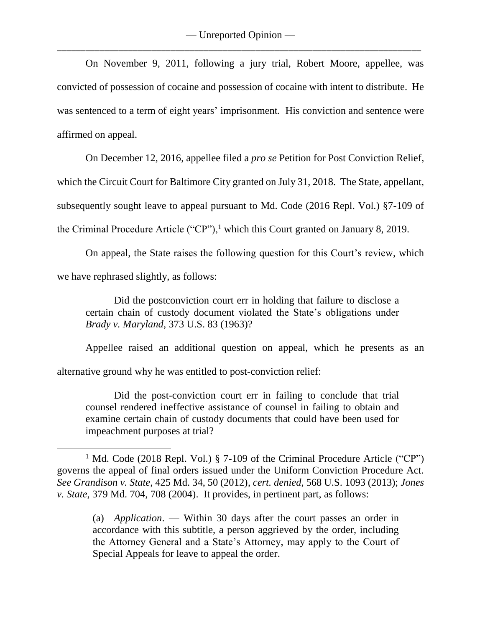On November 9, 2011, following a jury trial, Robert Moore, appellee, was convicted of possession of cocaine and possession of cocaine with intent to distribute. He was sentenced to a term of eight years' imprisonment. His conviction and sentence were affirmed on appeal.

On December 12, 2016, appellee filed a *pro se* Petition for Post Conviction Relief,

which the Circuit Court for Baltimore City granted on July 31, 2018. The State, appellant,

subsequently sought leave to appeal pursuant to Md. Code (2016 Repl. Vol.) §7-109 of

the Criminal Procedure Article ("CP"),<sup>1</sup> which this Court granted on January 8, 2019.

On appeal, the State raises the following question for this Court's review, which we have rephrased slightly, as follows:

Did the postconviction court err in holding that failure to disclose a certain chain of custody document violated the State's obligations under *Brady v. Maryland*, 373 U.S. 83 (1963)?

Appellee raised an additional question on appeal, which he presents as an alternative ground why he was entitled to post-conviction relief:

Did the post-conviction court err in failing to conclude that trial counsel rendered ineffective assistance of counsel in failing to obtain and examine certain chain of custody documents that could have been used for impeachment purposes at trial?

 $\overline{a}$ 

(a) *Application*. — Within 30 days after the court passes an order in accordance with this subtitle, a person aggrieved by the order, including the Attorney General and a State's Attorney, may apply to the Court of Special Appeals for leave to appeal the order.

<sup>&</sup>lt;sup>1</sup> Md. Code (2018 Repl. Vol.) § 7-109 of the Criminal Procedure Article ("CP") governs the appeal of final orders issued under the Uniform Conviction Procedure Act. *See Grandison v. State*, 425 Md. 34, 50 (2012), *cert. denied*, 568 U.S. 1093 (2013); *Jones v. State*, 379 Md. 704, 708 (2004). It provides, in pertinent part, as follows: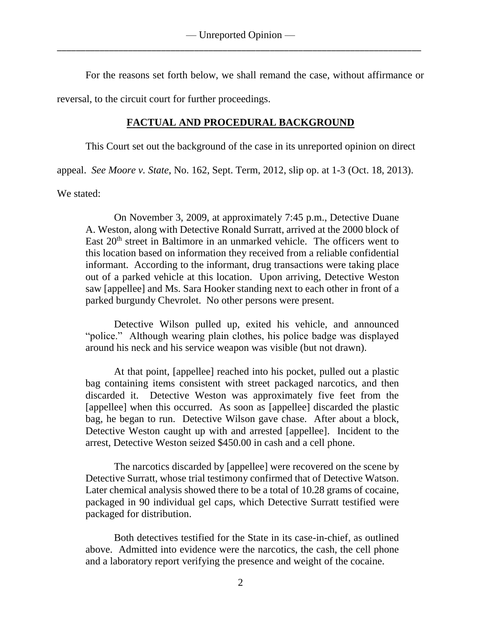For the reasons set forth below, we shall remand the case, without affirmance or

reversal, to the circuit court for further proceedings.

# **FACTUAL AND PROCEDURAL BACKGROUND**

This Court set out the background of the case in its unreported opinion on direct

appeal. *See Moore v. State*, No. 162, Sept. Term, 2012, slip op. at 1-3 (Oct. 18, 2013).

We stated:

On November 3, 2009, at approximately 7:45 p.m., Detective Duane A. Weston, along with Detective Ronald Surratt, arrived at the 2000 block of East  $20<sup>th</sup>$  street in Baltimore in an unmarked vehicle. The officers went to this location based on information they received from a reliable confidential informant. According to the informant, drug transactions were taking place out of a parked vehicle at this location. Upon arriving, Detective Weston saw [appellee] and Ms. Sara Hooker standing next to each other in front of a parked burgundy Chevrolet. No other persons were present.

Detective Wilson pulled up, exited his vehicle, and announced "police." Although wearing plain clothes, his police badge was displayed around his neck and his service weapon was visible (but not drawn).

At that point, [appellee] reached into his pocket, pulled out a plastic bag containing items consistent with street packaged narcotics, and then discarded it. Detective Weston was approximately five feet from the [appellee] when this occurred. As soon as [appellee] discarded the plastic bag, he began to run. Detective Wilson gave chase. After about a block, Detective Weston caught up with and arrested [appellee]. Incident to the arrest, Detective Weston seized \$450.00 in cash and a cell phone.

The narcotics discarded by [appellee] were recovered on the scene by Detective Surratt, whose trial testimony confirmed that of Detective Watson. Later chemical analysis showed there to be a total of 10.28 grams of cocaine, packaged in 90 individual gel caps, which Detective Surratt testified were packaged for distribution.

Both detectives testified for the State in its case-in-chief, as outlined above. Admitted into evidence were the narcotics, the cash, the cell phone and a laboratory report verifying the presence and weight of the cocaine.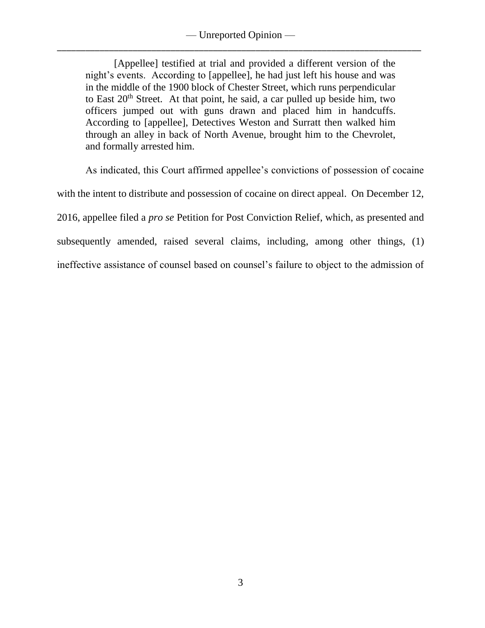— Unreported Opinion — \_\_\_\_\_\_\_\_\_\_\_\_\_\_\_\_\_\_\_\_\_\_\_\_\_\_\_\_\_\_\_\_\_\_\_\_\_\_\_\_\_\_\_\_\_\_\_\_\_\_\_\_\_\_\_\_\_\_\_\_\_\_\_\_\_\_\_\_\_\_\_\_\_\_\_\_\_

[Appellee] testified at trial and provided a different version of the night's events. According to [appellee], he had just left his house and was in the middle of the 1900 block of Chester Street, which runs perpendicular to East  $20<sup>th</sup>$  Street. At that point, he said, a car pulled up beside him, two officers jumped out with guns drawn and placed him in handcuffs. According to [appellee], Detectives Weston and Surratt then walked him through an alley in back of North Avenue, brought him to the Chevrolet, and formally arrested him.

As indicated, this Court affirmed appellee's convictions of possession of cocaine with the intent to distribute and possession of cocaine on direct appeal. On December 12, 2016, appellee filed a *pro se* Petition for Post Conviction Relief, which, as presented and subsequently amended, raised several claims, including, among other things, (1) ineffective assistance of counsel based on counsel's failure to object to the admission of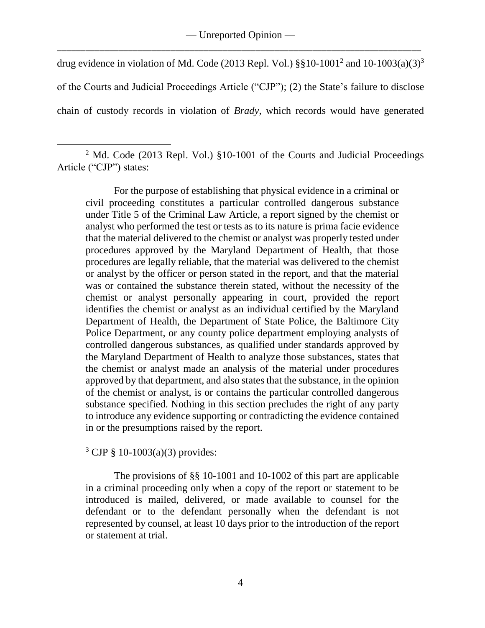drug evidence in violation of Md. Code (2013 Repl. Vol.)  $\S$ §10-1001<sup>2</sup> and 10-1003(a)(3)<sup>3</sup> of the Courts and Judicial Proceedings Article ("CJP"); (2) the State's failure to disclose chain of custody records in violation of *Brady*, which records would have generated

For the purpose of establishing that physical evidence in a criminal or civil proceeding constitutes a particular controlled dangerous substance under Title 5 of the Criminal Law Article, a report signed by the chemist or analyst who performed the test or tests as to its nature is prima facie evidence that the material delivered to the chemist or analyst was properly tested under procedures approved by the Maryland Department of Health, that those procedures are legally reliable, that the material was delivered to the chemist or analyst by the officer or person stated in the report, and that the material was or contained the substance therein stated, without the necessity of the chemist or analyst personally appearing in court, provided the report identifies the chemist or analyst as an individual certified by the Maryland Department of Health, the Department of State Police, the Baltimore City Police Department, or any county police department employing analysts of controlled dangerous substances, as qualified under standards approved by the Maryland Department of Health to analyze those substances, states that the chemist or analyst made an analysis of the material under procedures approved by that department, and also states that the substance, in the opinion of the chemist or analyst, is or contains the particular controlled dangerous substance specified. Nothing in this section precludes the right of any party to introduce any evidence supporting or contradicting the evidence contained in or the presumptions raised by the report.

 $3$  CJP § 10-1003(a)(3) provides:

 $\overline{a}$ 

The provisions of §§ 10-1001 and 10-1002 of this part are applicable in a criminal proceeding only when a copy of the report or statement to be introduced is mailed, delivered, or made available to counsel for the defendant or to the defendant personally when the defendant is not represented by counsel, at least 10 days prior to the introduction of the report or statement at trial.

<sup>&</sup>lt;sup>2</sup> Md. Code (2013 Repl. Vol.) §10-1001 of the Courts and Judicial Proceedings Article ("CJP") states: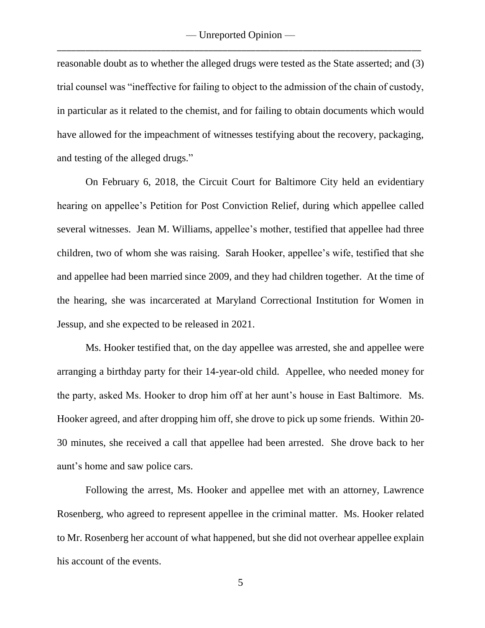reasonable doubt as to whether the alleged drugs were tested as the State asserted; and (3) trial counsel was "ineffective for failing to object to the admission of the chain of custody, in particular as it related to the chemist, and for failing to obtain documents which would have allowed for the impeachment of witnesses testifying about the recovery, packaging, and testing of the alleged drugs."

On February 6, 2018, the Circuit Court for Baltimore City held an evidentiary hearing on appellee's Petition for Post Conviction Relief, during which appellee called several witnesses. Jean M. Williams, appellee's mother, testified that appellee had three children, two of whom she was raising. Sarah Hooker, appellee's wife, testified that she and appellee had been married since 2009, and they had children together. At the time of the hearing, she was incarcerated at Maryland Correctional Institution for Women in Jessup, and she expected to be released in 2021.

Ms. Hooker testified that, on the day appellee was arrested, she and appellee were arranging a birthday party for their 14-year-old child. Appellee, who needed money for the party, asked Ms. Hooker to drop him off at her aunt's house in East Baltimore. Ms. Hooker agreed, and after dropping him off, she drove to pick up some friends. Within 20- 30 minutes, she received a call that appellee had been arrested. She drove back to her aunt's home and saw police cars.

Following the arrest, Ms. Hooker and appellee met with an attorney, Lawrence Rosenberg, who agreed to represent appellee in the criminal matter. Ms. Hooker related to Mr. Rosenberg her account of what happened, but she did not overhear appellee explain his account of the events.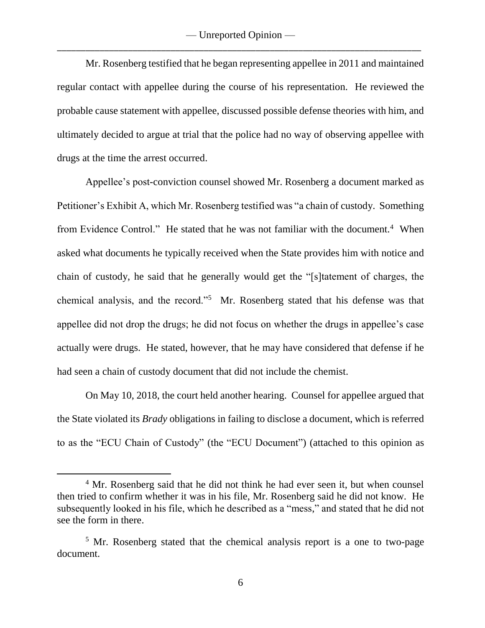Mr. Rosenberg testified that he began representing appellee in 2011 and maintained regular contact with appellee during the course of his representation. He reviewed the probable cause statement with appellee, discussed possible defense theories with him, and ultimately decided to argue at trial that the police had no way of observing appellee with drugs at the time the arrest occurred.

Appellee's post-conviction counsel showed Mr. Rosenberg a document marked as Petitioner's Exhibit A, which Mr. Rosenberg testified was "a chain of custody. Something from Evidence Control." He stated that he was not familiar with the document.<sup>4</sup> When asked what documents he typically received when the State provides him with notice and chain of custody, he said that he generally would get the "[s]tatement of charges, the chemical analysis, and the record."<sup>5</sup> Mr. Rosenberg stated that his defense was that appellee did not drop the drugs; he did not focus on whether the drugs in appellee's case actually were drugs. He stated, however, that he may have considered that defense if he had seen a chain of custody document that did not include the chemist.

On May 10, 2018, the court held another hearing. Counsel for appellee argued that the State violated its *Brady* obligations in failing to disclose a document, which is referred to as the "ECU Chain of Custody" (the "ECU Document") (attached to this opinion as

<sup>&</sup>lt;sup>4</sup> Mr. Rosenberg said that he did not think he had ever seen it, but when counsel then tried to confirm whether it was in his file, Mr. Rosenberg said he did not know. He subsequently looked in his file, which he described as a "mess," and stated that he did not see the form in there.

<sup>&</sup>lt;sup>5</sup> Mr. Rosenberg stated that the chemical analysis report is a one to two-page document.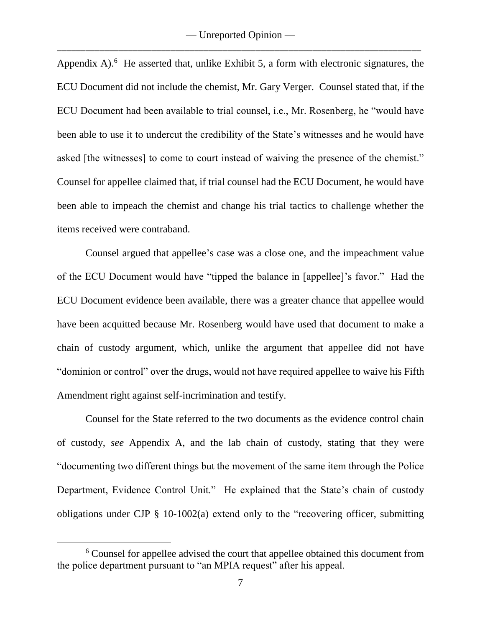Appendix A).<sup>6</sup> He asserted that, unlike Exhibit 5, a form with electronic signatures, the ECU Document did not include the chemist, Mr. Gary Verger. Counsel stated that, if the ECU Document had been available to trial counsel, i.e., Mr. Rosenberg, he "would have been able to use it to undercut the credibility of the State's witnesses and he would have asked [the witnesses] to come to court instead of waiving the presence of the chemist." Counsel for appellee claimed that, if trial counsel had the ECU Document, he would have been able to impeach the chemist and change his trial tactics to challenge whether the items received were contraband.

Counsel argued that appellee's case was a close one, and the impeachment value of the ECU Document would have "tipped the balance in [appellee]'s favor." Had the ECU Document evidence been available, there was a greater chance that appellee would have been acquitted because Mr. Rosenberg would have used that document to make a chain of custody argument, which, unlike the argument that appellee did not have "dominion or control" over the drugs, would not have required appellee to waive his Fifth Amendment right against self-incrimination and testify.

Counsel for the State referred to the two documents as the evidence control chain of custody, *see* Appendix A, and the lab chain of custody, stating that they were "documenting two different things but the movement of the same item through the Police Department, Evidence Control Unit." He explained that the State's chain of custody obligations under CJP § 10-1002(a) extend only to the "recovering officer, submitting

<sup>6</sup> Counsel for appellee advised the court that appellee obtained this document from the police department pursuant to "an MPIA request" after his appeal.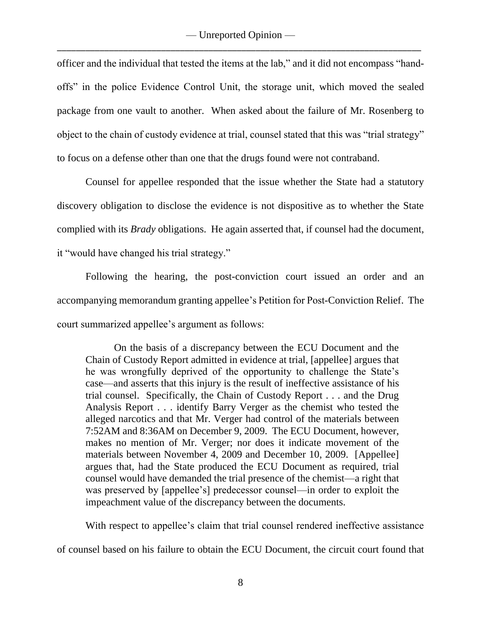officer and the individual that tested the items at the lab," and it did not encompass "handoffs" in the police Evidence Control Unit, the storage unit, which moved the sealed package from one vault to another. When asked about the failure of Mr. Rosenberg to object to the chain of custody evidence at trial, counsel stated that this was "trial strategy" to focus on a defense other than one that the drugs found were not contraband.

Counsel for appellee responded that the issue whether the State had a statutory discovery obligation to disclose the evidence is not dispositive as to whether the State complied with its *Brady* obligations. He again asserted that, if counsel had the document, it "would have changed his trial strategy."

Following the hearing, the post-conviction court issued an order and an accompanying memorandum granting appellee's Petition for Post-Conviction Relief.The court summarized appellee's argument as follows:

On the basis of a discrepancy between the ECU Document and the Chain of Custody Report admitted in evidence at trial, [appellee] argues that he was wrongfully deprived of the opportunity to challenge the State's case—and asserts that this injury is the result of ineffective assistance of his trial counsel. Specifically, the Chain of Custody Report . . . and the Drug Analysis Report . . . identify Barry Verger as the chemist who tested the alleged narcotics and that Mr. Verger had control of the materials between 7:52AM and 8:36AM on December 9, 2009. The ECU Document, however, makes no mention of Mr. Verger; nor does it indicate movement of the materials between November 4, 2009 and December 10, 2009. [Appellee] argues that, had the State produced the ECU Document as required, trial counsel would have demanded the trial presence of the chemist—a right that was preserved by [appellee's] predecessor counsel—in order to exploit the impeachment value of the discrepancy between the documents.

With respect to appellee's claim that trial counsel rendered ineffective assistance

of counsel based on his failure to obtain the ECU Document, the circuit court found that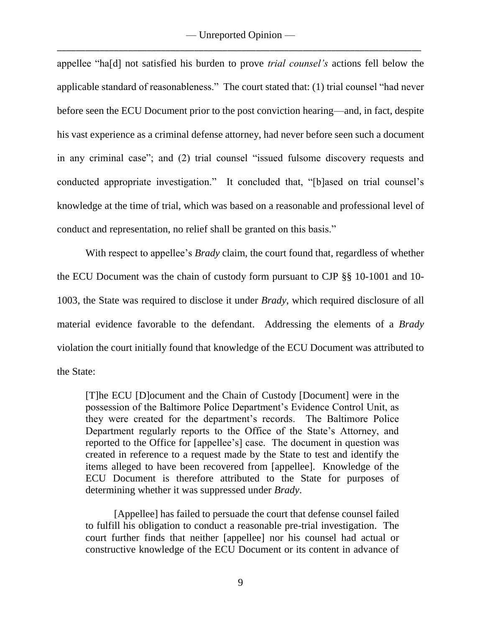appellee "ha[d] not satisfied his burden to prove *trial counsel's* actions fell below the applicable standard of reasonableness." The court stated that: (1) trial counsel "had never before seen the ECU Document prior to the post conviction hearing—and, in fact, despite his vast experience as a criminal defense attorney, had never before seen such a document in any criminal case"; and (2) trial counsel "issued fulsome discovery requests and conducted appropriate investigation." It concluded that, "[b]ased on trial counsel's knowledge at the time of trial, which was based on a reasonable and professional level of conduct and representation, no relief shall be granted on this basis."

With respect to appellee's *Brady* claim, the court found that, regardless of whether the ECU Document was the chain of custody form pursuant to CJP §§ 10-1001 and 10- 1003, the State was required to disclose it under *Brady*, which required disclosure of all material evidence favorable to the defendant. Addressing the elements of a *Brady* violation the court initially found that knowledge of the ECU Document was attributed to the State:

[T]he ECU [D]ocument and the Chain of Custody [Document] were in the possession of the Baltimore Police Department's Evidence Control Unit, as they were created for the department's records. The Baltimore Police Department regularly reports to the Office of the State's Attorney, and reported to the Office for [appellee's] case. The document in question was created in reference to a request made by the State to test and identify the items alleged to have been recovered from [appellee]. Knowledge of the ECU Document is therefore attributed to the State for purposes of determining whether it was suppressed under *Brady*.

[Appellee] has failed to persuade the court that defense counsel failed to fulfill his obligation to conduct a reasonable pre-trial investigation. The court further finds that neither [appellee] nor his counsel had actual or constructive knowledge of the ECU Document or its content in advance of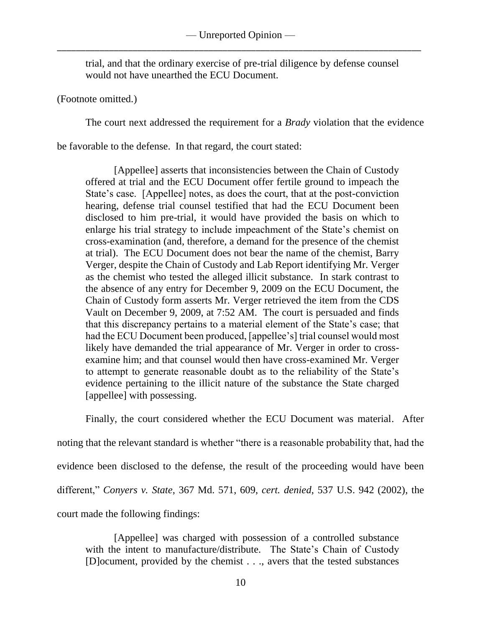trial, and that the ordinary exercise of pre-trial diligence by defense counsel would not have unearthed the ECU Document.

(Footnote omitted.)

The court next addressed the requirement for a *Brady* violation that the evidence

be favorable to the defense. In that regard, the court stated:

[Appellee] asserts that inconsistencies between the Chain of Custody offered at trial and the ECU Document offer fertile ground to impeach the State's case. [Appellee] notes, as does the court, that at the post-conviction hearing, defense trial counsel testified that had the ECU Document been disclosed to him pre-trial, it would have provided the basis on which to enlarge his trial strategy to include impeachment of the State's chemist on cross-examination (and, therefore, a demand for the presence of the chemist at trial). The ECU Document does not bear the name of the chemist, Barry Verger, despite the Chain of Custody and Lab Report identifying Mr. Verger as the chemist who tested the alleged illicit substance. In stark contrast to the absence of any entry for December 9, 2009 on the ECU Document, the Chain of Custody form asserts Mr. Verger retrieved the item from the CDS Vault on December 9, 2009, at 7:52 AM. The court is persuaded and finds that this discrepancy pertains to a material element of the State's case; that had the ECU Document been produced, [appellee's] trial counsel would most likely have demanded the trial appearance of Mr. Verger in order to crossexamine him; and that counsel would then have cross-examined Mr. Verger to attempt to generate reasonable doubt as to the reliability of the State's evidence pertaining to the illicit nature of the substance the State charged [appellee] with possessing.

Finally, the court considered whether the ECU Document was material. After

noting that the relevant standard is whether "there is a reasonable probability that, had the

evidence been disclosed to the defense, the result of the proceeding would have been

different," *Conyers v. State*, 367 Md. 571, 609, *cert. denied*, 537 U.S. 942 (2002), the

court made the following findings:

[Appellee] was charged with possession of a controlled substance with the intent to manufacture/distribute. The State's Chain of Custody [D]ocument, provided by the chemist . . ., avers that the tested substances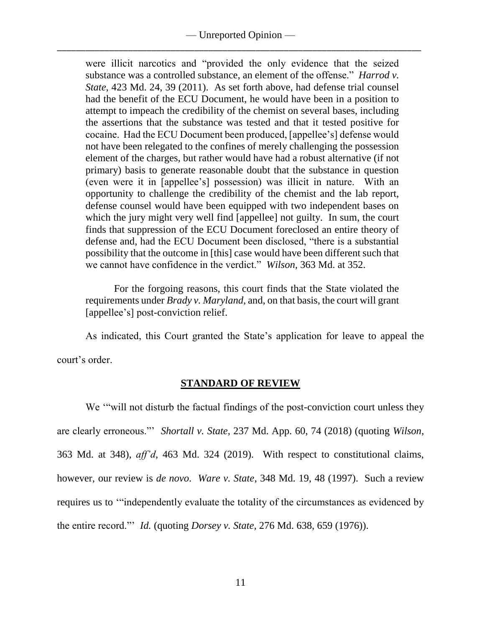# — Unreported Opinion — \_\_\_\_\_\_\_\_\_\_\_\_\_\_\_\_\_\_\_\_\_\_\_\_\_\_\_\_\_\_\_\_\_\_\_\_\_\_\_\_\_\_\_\_\_\_\_\_\_\_\_\_\_\_\_\_\_\_\_\_\_\_\_\_\_\_\_\_\_\_\_\_\_\_\_\_\_

were illicit narcotics and "provided the only evidence that the seized substance was a controlled substance, an element of the offense." *Harrod v. State*, 423 Md. 24, 39 (2011). As set forth above, had defense trial counsel had the benefit of the ECU Document, he would have been in a position to attempt to impeach the credibility of the chemist on several bases, including the assertions that the substance was tested and that it tested positive for cocaine. Had the ECU Document been produced, [appellee's] defense would not have been relegated to the confines of merely challenging the possession element of the charges, but rather would have had a robust alternative (if not primary) basis to generate reasonable doubt that the substance in question (even were it in [appellee's] possession) was illicit in nature. With an opportunity to challenge the credibility of the chemist and the lab report, defense counsel would have been equipped with two independent bases on which the jury might very well find [appellee] not guilty. In sum, the court finds that suppression of the ECU Document foreclosed an entire theory of defense and, had the ECU Document been disclosed, "there is a substantial possibility that the outcome in [this] case would have been different such that we cannot have confidence in the verdict." *Wilson*, 363 Md. at 352.

For the forgoing reasons, this court finds that the State violated the requirements under *Brady v. Maryland*, and, on that basis, the court will grant [appellee's] post-conviction relief.

As indicated, this Court granted the State's application for leave to appeal the court's order.

### **STANDARD OF REVIEW**

We "will not disturb the factual findings of the post-conviction court unless they are clearly erroneous."' *Shortall v. State*, 237 Md. App. 60, 74 (2018) (quoting *Wilson*, 363 Md. at 348), *aff'd*, 463 Md. 324 (2019). With respect to constitutional claims, however, our review is *de novo*. *Ware v. State*, 348 Md. 19, 48 (1997). Such a review requires us to '"independently evaluate the totality of the circumstances as evidenced by the entire record."' *Id.* (quoting *Dorsey v. State*, 276 Md. 638, 659 (1976)).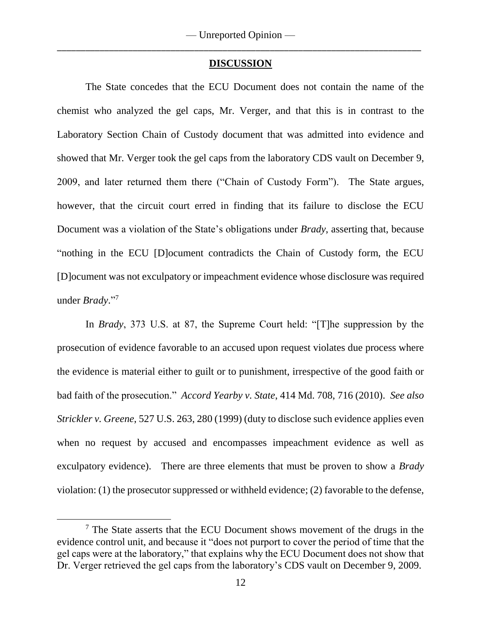## **DISCUSSION**

The State concedes that the ECU Document does not contain the name of the chemist who analyzed the gel caps, Mr. Verger, and that this is in contrast to the Laboratory Section Chain of Custody document that was admitted into evidence and showed that Mr. Verger took the gel caps from the laboratory CDS vault on December 9, 2009, and later returned them there ("Chain of Custody Form"). The State argues, however, that the circuit court erred in finding that its failure to disclose the ECU Document was a violation of the State's obligations under *Brady*, asserting that, because "nothing in the ECU [D]ocument contradicts the Chain of Custody form, the ECU [D]ocument was not exculpatory or impeachment evidence whose disclosure was required under *Brady*." 7

In *Brady*, 373 U.S. at 87, the Supreme Court held: "[T]he suppression by the prosecution of evidence favorable to an accused upon request violates due process where the evidence is material either to guilt or to punishment, irrespective of the good faith or bad faith of the prosecution." *Accord Yearby v. State*, 414 Md. 708, 716 (2010). *See also Strickler v. Greene*, 527 U.S. 263, 280 (1999) (duty to disclose such evidence applies even when no request by accused and encompasses impeachment evidence as well as exculpatory evidence). There are three elements that must be proven to show a *Brady*  violation: (1) the prosecutor suppressed or withheld evidence; (2) favorable to the defense,

<sup>7</sup> The State asserts that the ECU Document shows movement of the drugs in the evidence control unit, and because it "does not purport to cover the period of time that the gel caps were at the laboratory," that explains why the ECU Document does not show that Dr. Verger retrieved the gel caps from the laboratory's CDS vault on December 9, 2009.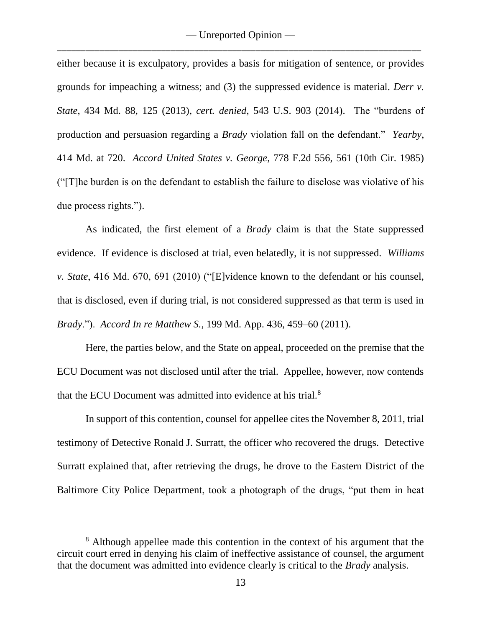either because it is exculpatory, provides a basis for mitigation of sentence, or provides grounds for impeaching a witness; and (3) the suppressed evidence is material. *Derr v. State*, 434 Md. 88, 125 (2013), *cert. denied*, 543 U.S. 903 (2014). The "burdens of production and persuasion regarding a *Brady* violation fall on the defendant." *Yearby*, 414 Md. at 720. *Accord United States v. George*, 778 F.2d 556, 561 (10th Cir. 1985) ("[T]he burden is on the defendant to establish the failure to disclose was violative of his due process rights.").

As indicated, the first element of a *Brady* claim is that the State suppressed evidence. If evidence is disclosed at trial, even belatedly, it is not suppressed. *Williams v. State*, 416 Md. 670, 691 (2010) ("[E]vidence known to the defendant or his counsel, that is disclosed, even if during trial, is not considered suppressed as that term is used in *Brady*."). *Accord In re Matthew S.*, 199 Md. App. 436, 459–60 (2011).

Here, the parties below, and the State on appeal, proceeded on the premise that the ECU Document was not disclosed until after the trial. Appellee, however, now contends that the ECU Document was admitted into evidence at his trial.<sup>8</sup>

In support of this contention, counsel for appellee cites the November 8, 2011, trial testimony of Detective Ronald J. Surratt, the officer who recovered the drugs. Detective Surratt explained that, after retrieving the drugs, he drove to the Eastern District of the Baltimore City Police Department, took a photograph of the drugs, "put them in heat

<sup>&</sup>lt;sup>8</sup> Although appellee made this contention in the context of his argument that the circuit court erred in denying his claim of ineffective assistance of counsel, the argument that the document was admitted into evidence clearly is critical to the *Brady* analysis.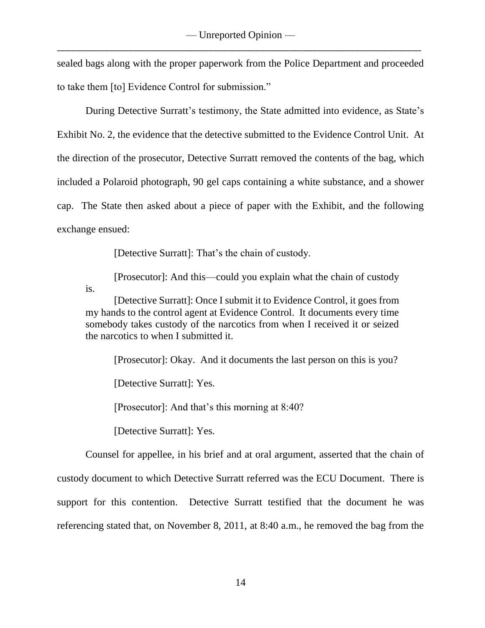sealed bags along with the proper paperwork from the Police Department and proceeded to take them [to] Evidence Control for submission."

During Detective Surratt's testimony, the State admitted into evidence, as State's Exhibit No. 2, the evidence that the detective submitted to the Evidence Control Unit. At the direction of the prosecutor, Detective Surratt removed the contents of the bag, which included a Polaroid photograph, 90 gel caps containing a white substance, and a shower cap. The State then asked about a piece of paper with the Exhibit, and the following exchange ensued:

[Detective Surratt]: That's the chain of custody.

[Prosecutor]: And this—could you explain what the chain of custody is.

[Detective Surratt]: Once I submit it to Evidence Control, it goes from my hands to the control agent at Evidence Control. It documents every time somebody takes custody of the narcotics from when I received it or seized the narcotics to when I submitted it.

[Prosecutor]: Okay. And it documents the last person on this is you?

[Detective Surratt]: Yes.

[Prosecutor]: And that's this morning at 8:40?

[Detective Surratt]: Yes.

Counsel for appellee, in his brief and at oral argument, asserted that the chain of custody document to which Detective Surratt referred was the ECU Document. There is support for this contention. Detective Surratt testified that the document he was referencing stated that, on November 8, 2011, at 8:40 a.m., he removed the bag from the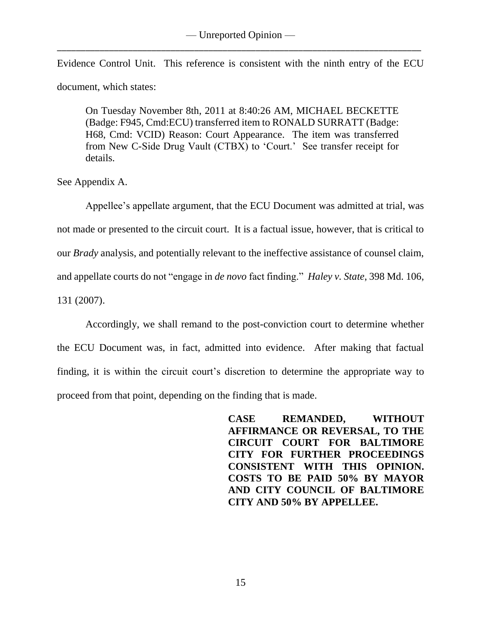Evidence Control Unit. This reference is consistent with the ninth entry of the ECU document, which states:

On Tuesday November 8th, 2011 at 8:40:26 AM, MICHAEL BECKETTE (Badge: F945, Cmd:ECU) transferred item to RONALD SURRATT (Badge: H68, Cmd: VCID) Reason: Court Appearance. The item was transferred from New C-Side Drug Vault (CTBX) to 'Court.' See transfer receipt for details.

See Appendix A.

Appellee's appellate argument, that the ECU Document was admitted at trial, was not made or presented to the circuit court. It is a factual issue, however, that is critical to our *Brady* analysis, and potentially relevant to the ineffective assistance of counsel claim, and appellate courts do not "engage in *de novo* fact finding." *Haley v. State*, 398 Md. 106, 131 (2007).

Accordingly, we shall remand to the post-conviction court to determine whether the ECU Document was, in fact, admitted into evidence. After making that factual finding, it is within the circuit court's discretion to determine the appropriate way to proceed from that point, depending on the finding that is made.

> **CASE REMANDED, WITHOUT AFFIRMANCE OR REVERSAL, TO THE CIRCUIT COURT FOR BALTIMORE CITY FOR FURTHER PROCEEDINGS CONSISTENT WITH THIS OPINION. COSTS TO BE PAID 50% BY MAYOR AND CITY COUNCIL OF BALTIMORE CITY AND 50% BY APPELLEE.**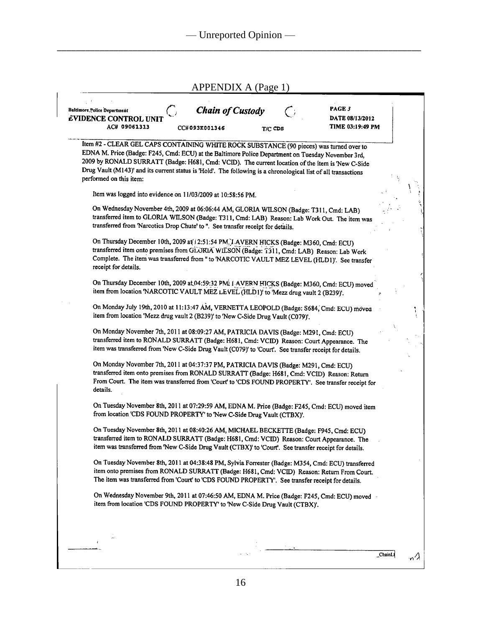| <b>Baltimore</b> Police Department<br><b>EVIDENCE CONTROL UNI</b><br>AC# 09061313                                                                                                                                                                                                                                                                                                                                                            | <b>Chain of Custody</b><br>CC#093K001346 | T/C CDS | PAGE 3<br>DATE 08/13/2012<br>TIME 03:19:49 PM |  |
|----------------------------------------------------------------------------------------------------------------------------------------------------------------------------------------------------------------------------------------------------------------------------------------------------------------------------------------------------------------------------------------------------------------------------------------------|------------------------------------------|---------|-----------------------------------------------|--|
| Item #2 - CLEAR GEL CAPS CONTAINING WHITE ROCK SUBSTANCE (90 pieces) was turned over to<br>EDNA M. Price (Badge: F245, Cmd: ECU) at the Baltimore Police Department on Tuesday November 3rd,<br>2009 by RONALD SURRATT (Badge: H681, Cmd: VCID). The current location of the item is New C-Side<br>Drug Vault (M143)' and its current status is 'Hold'. The following is a chronological list of all transactions<br>performed on this item: |                                          |         |                                               |  |
| Item was logged into evidence on 11/03/2009 at 10:58:56 PM.                                                                                                                                                                                                                                                                                                                                                                                  |                                          |         |                                               |  |
| On Wednesday November 4th, 2009 at 06:06:44 AM, GLORIA WILSON (Badge: T311, Cmd: LAB)<br>transferred item to GLORIA WILSON (Badge: T311, Cmd: LAB) Reason: Lab Work Out. The item was<br>transferred from 'Narcotics Drop Chute' to ". See transfer receipt for details.                                                                                                                                                                     |                                          |         |                                               |  |
| On Thursday December 10th, 2009 at 12:51:54 PM. LAVERN HICKS (Badge: M360, Cmd: ECU)<br>transferred item onto premises from GLORIA WILSON (Badge: 1311, Cmd: LAB) Reason: Lab Work<br>Complete. The item was transferred from " to 'NARCOTIC VAULT MEZ LEVEL (HLD1)'. See transfer<br>receipt for details.                                                                                                                                   |                                          |         |                                               |  |
| On Thursday December 10th, 2009 at 04:59:32 PMi 1 AVERN HICKS (Badge: M360, Cmd: ECU) moved<br>item from location 'NARCOTIC VAULT MEZ LEVEL (HLD1)' to 'Mezz drug vault 2 (B239)'.                                                                                                                                                                                                                                                           |                                          |         |                                               |  |
| On Monday July 19th, 2010 at 11:13:47 AM, VERNETTA LEOPOLD (Badge: S684, Cmd: ECU) moved<br>item from location 'Mezz drug vault 2 (B239)' to 'New C-Side Drug Vault (C079)'.                                                                                                                                                                                                                                                                 |                                          |         |                                               |  |
| On Monday November 7th, 2011 at 08:09:27 AM, PATRICIA DAVIS (Badge: M291, Cmd: ECU)<br>transferred item to RONALD SURRATT (Badge: H681, Cmd: VCID) Reason: Court Appearance. The<br>item was transferred from 'New C-Side Drug Vault (C079)' to 'Court'. See transfer receipt for details.                                                                                                                                                   |                                          |         |                                               |  |
| On Monday November 7th, 2011 at 04:37:37 PM, PATRICIA DAVIS (Badge: M291, Cmd: ECU)<br>transferred item onto premises from RONALD SURRATT (Badge: H681, Cmd: VCID) Reason: Return<br>From Court. The item was transferred from 'Court' to 'CDS FOUND PROPERTY'. See transfer receipt for<br>details.                                                                                                                                         |                                          |         |                                               |  |
| On Tuesday November 8th, 2011 at 07:29:59 AM, EDNA M. Price (Badge: F245, Cmd: ECU) moved item<br>from location 'CDS FOUND PROPERTY' to 'New C-Side Drug Vault (CTBX)'.                                                                                                                                                                                                                                                                      |                                          |         |                                               |  |
| On Tuesday November 8th, 2011 at 08:40:26 AM, MICHAEL BECKETTE (Badge: F945, Cmd: ECU)<br>transferred item to RONALD SURRATT (Badge: H681, Cmd: VCID) Reason: Court Appearance. The<br>item was transferred from 'New C-Side Drug Vault (CTBX)' to 'Court'. See transfer receipt for details.                                                                                                                                                |                                          |         |                                               |  |
| On Tuesday November 8th, 2011 at 04:38:48 PM, Sylvia Forrester (Badge: M354, Cmd: ECU) transferred<br>item onto premises from RONALD SURRATT (Badge: H681, Cmd: VCID) Reason: Return From Court.<br>The item was transferred from 'Court' to 'CDS FOUND PROPERTY'. See transfer receipt for details.                                                                                                                                         |                                          |         |                                               |  |
| On Wednesday November 9th, 2011 at 07:46:50 AM, EDNA M. Price (Badge: F245, Cmd: ECU) moved<br>item from location 'CDS FOUND PROPERTY' to 'New C-Side Drug Vault (CTBX)'.                                                                                                                                                                                                                                                                    |                                          |         |                                               |  |
|                                                                                                                                                                                                                                                                                                                                                                                                                                              |                                          |         |                                               |  |
|                                                                                                                                                                                                                                                                                                                                                                                                                                              |                                          |         |                                               |  |